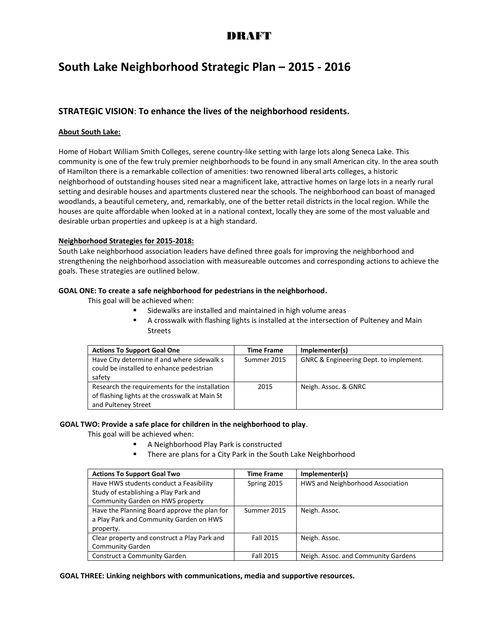## DRAFT

# **South Lake Neighborhood Strategic Plan – 2015 - 2016**

### **STRATEGIC VISION**: **To enhance the lives of the neighborhood residents.**

#### **About South Lake:**

Home of Hobart William Smith Colleges, serene country-like setting with large lots along Seneca Lake. This community is one of the few truly premier neighborhoods to be found in any small American city. In the area south of Hamilton there is a remarkable collection of amenities: two renowned liberal arts colleges, a historic neighborhood of outstanding houses sited near a magnificent lake, attractive homes on large lots in a nearly rural setting and desirable houses and apartments clustered near the schools. The neighborhood can boast of managed woodlands, a beautiful cemetery, and, remarkably, one of the better retail districts in the local region. While the houses are quite affordable when looked at in a national context, locally they are some of the most valuable and desirable urban properties and upkeep is at a high standard.

#### **Neighborhood Strategies for 2015-2018:**

South Lake neighborhood association leaders have defined three goals for improving the neighborhood and strengthening the neighborhood association with measureable outcomes and corresponding actions to achieve the goals. These strategies are outlined below.

#### **GOAL ONE: To create a safe neighborhood for pedestrians in the neighborhood.**

This goal will be achieved when:

- Sidewalks are installed and maintained in high volume areas
- A crosswalk with flashing lights is installed at the intersection of Pulteney and Main Streets

| <b>Actions To Support Goal One</b>             | <b>Time Frame</b> | Implementer(s)                                    |
|------------------------------------------------|-------------------|---------------------------------------------------|
| Have City determine if and where sidewalk s    | Summer 2015       | <b>GNRC &amp; Engineering Dept. to implement.</b> |
| could be installed to enhance pedestrian       |                   |                                                   |
| safety                                         |                   |                                                   |
| Research the requirements for the installation | 2015              | Neigh. Assoc. & GNRC                              |
| of flashing lights at the crosswalk at Main St |                   |                                                   |
| and Pulteney Street                            |                   |                                                   |

#### **GOAL TWO: Provide a safe place for children in the neighborhood to play**.

This goal will be achieved when:

- A Neighborhood Play Park is constructed
	- There are plans for a City Park in the South Lake Neighborhood

| <b>Actions To Support Goal Two</b>           | <b>Time Frame</b> | Implementer(s)                      |
|----------------------------------------------|-------------------|-------------------------------------|
| Have HWS students conduct a Feasibility      | Spring 2015       | HWS and Neighborhood Association    |
| Study of establishing a Play Park and        |                   |                                     |
| Community Garden on HWS property             |                   |                                     |
| Have the Planning Board approve the plan for | Summer 2015       | Neigh. Assoc.                       |
| a Play Park and Community Garden on HWS      |                   |                                     |
| property.                                    |                   |                                     |
| Clear property and construct a Play Park and | <b>Fall 2015</b>  | Neigh. Assoc.                       |
| <b>Community Garden</b>                      |                   |                                     |
| <b>Construct a Community Garden</b>          | Fall 2015         | Neigh. Assoc. and Community Gardens |

**GOAL THREE: Linking neighbors with communications, media and supportive resources.**